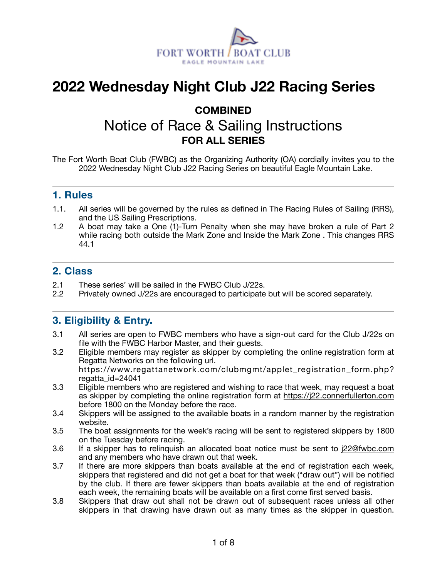

# **2022 Wednesday Night Club J22 Racing Series**

# **COMBINED**  Notice of Race & Sailing Instructions **FOR ALL SERIES**

The Fort Worth Boat Club (FWBC) as the Organizing Authority (OA) cordially invites you to the 2022 Wednesday Night Club J22 Racing Series on beautiful Eagle Mountain Lake.

#### **1. Rules**

- 1.1. All series will be governed by the rules as defined in The Racing Rules of Sailing (RRS), and the US Sailing Prescriptions.
- 1.2 A boat may take a One (1)-Turn Penalty when she may have broken a rule of Part 2 while racing both outside the Mark Zone and Inside the Mark Zone . This changes RRS 44.1

#### **2. Class**

- 2.1 These series' will be sailed in the FWBC Club J/22s.
- 2.2 Privately owned J/22s are encouraged to participate but will be scored separately.

#### **3. Eligibility & Entry.**

- 3.1 All series are open to FWBC members who have a sign-out card for the Club J/22s on file with the FWBC Harbor Master, and their guests.
- 3.2 Eligible members may register as skipper by completing the online registration form at Regatta Networks on the following url. [https://www.regattanetwork.com/clubmgmt/applet\\_registration\\_form.php?](https://www.regattanetwork.com/clubmgmt/applet_registration_form.php?regatta_id=24041) [regatta\\_id=24041](https://www.regattanetwork.com/clubmgmt/applet_registration_form.php?regatta_id=24041)
- 3.3 Eligible members who are registered and wishing to race that week, may request a boat as skipper by completing the online registration form at <https://j22.connerfullerton.com> before 1800 on the Monday before the race.
- 3.4 Skippers will be assigned to the available boats in a random manner by the registration website.
- 3.5 The boat assignments for the week's racing will be sent to registered skippers by 1800 on the Tuesday before racing.
- 3.6 If a skipper has to relinquish an allocated boat notice must be sent to [j22@fwbc.com](mailto:j22@fwbc.com) and any members who have drawn out that week.
- 3.7 If there are more skippers than boats available at the end of registration each week, skippers that registered and did not get a boat for that week ("draw out") will be notified by the club. If there are fewer skippers than boats available at the end of registration each week, the remaining boats will be available on a first come first served basis.
- 3.8 Skippers that draw out shall not be drawn out of subsequent races unless all other skippers in that drawing have drawn out as many times as the skipper in question.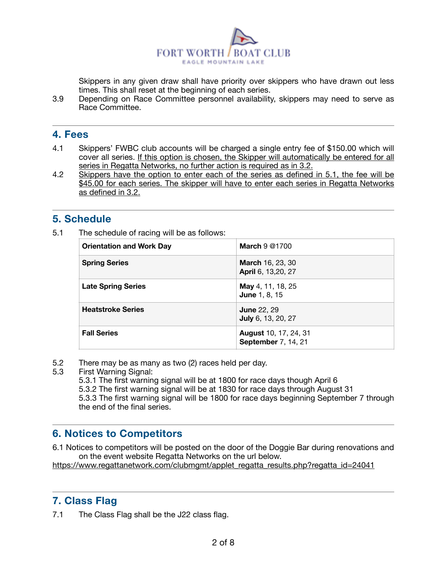

Skippers in any given draw shall have priority over skippers who have drawn out less times. This shall reset at the beginning of each series.

3.9 Depending on Race Committee personnel availability, skippers may need to serve as Race Committee.

#### **4. Fees**

- 4.1 Skippers' FWBC club accounts will be charged a single entry fee of \$150.00 which will cover all series. If this option is chosen, the Skipper will automatically be entered for all series in Regatta Networks, no further action is required as in 3.2.
- 4.2 Skippers have the option to enter each of the series as defined in 5.1, the fee will be \$45.00 for each series. The skipper will have to enter each series in Regatta Networks as defined in 3.2.

### **5. Schedule**

5.1 The schedule of racing will be as follows:

| <b>Orientation and Work Day</b> | March $9@1700$                                             |
|---------------------------------|------------------------------------------------------------|
| <b>Spring Series</b>            | <b>March 16, 23, 30</b><br>April 6, 13,20, 27              |
| <b>Late Spring Series</b>       | <b>May</b> 4, 11, 18, 25<br><b>June 1, 8, 15</b>           |
| <b>Heatstroke Series</b>        | <b>June 22, 29</b><br>July 6, 13, 20, 27                   |
| <b>Fall Series</b>              | <b>August 10, 17, 24, 31</b><br><b>September 7, 14, 21</b> |

- 5.2 There may be as many as two (2) races held per day.
- 5.3 First Warning Signal:
	- 5.3.1 The first warning signal will be at 1800 for race days though April 6
	- 5.3.2 The first warning signal will be at 1830 for race days through August 31

5.3.3 The first warning signal will be 1800 for race days beginning September 7 through the end of the final series.

## **6. Notices to Competitors**

6.1 Notices to competitors will be posted on the door of the Doggie Bar during renovations and on the event website Regatta Networks on the url below.

[https://www.regattanetwork.com/clubmgmt/applet\\_regatta\\_results.php?regatta\\_id=24041](https://www.regattanetwork.com/clubmgmt/applet_regatta_results.php?regatta_id=24041)

## **7. Class Flag**

7.1 The Class Flag shall be the J22 class flag.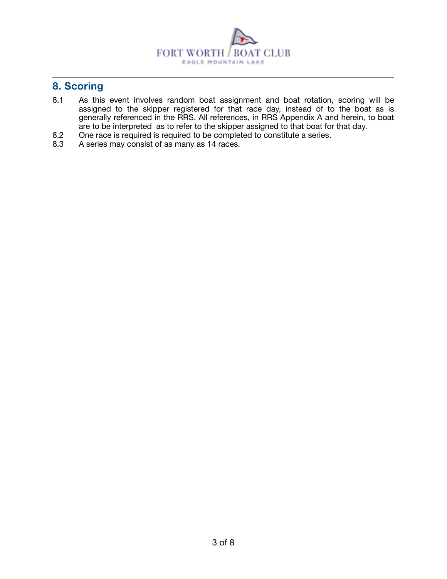

# **8. Scoring**

- 8.1 As this event involves random boat assignment and boat rotation, scoring will be assigned to the skipper registered for that race day, instead of to the boat as is generally referenced in the RRS. All references, in RRS Appendix A and herein, to boat are to be interpreted as to refer to the skipper assigned to that boat for that day.
- 8.2 One race is required is required to be completed to constitute a series.
- 8.3 A series may consist of as many as 14 races.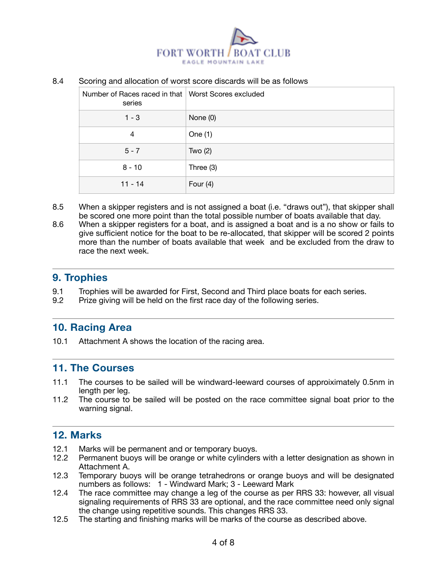

#### 8.4 Scoring and allocation of worst score discards will be as follows

| Number of Races raced in that   Worst Scores excluded<br>series |            |
|-----------------------------------------------------------------|------------|
| $1 - 3$                                                         | None $(0)$ |
| $\overline{4}$                                                  | One (1)    |
| $5 - 7$                                                         | Two $(2)$  |
| $8 - 10$                                                        | Three (3)  |
| $11 - 14$                                                       | Four $(4)$ |

- 8.5 When a skipper registers and is not assigned a boat (i.e. "draws out"), that skipper shall be scored one more point than the total possible number of boats available that day.
- 8.6 When a skipper registers for a boat, and is assigned a boat and is a no show or fails to give sufficient notice for the boat to be re-allocated, that skipper will be scored 2 points more than the number of boats available that week and be excluded from the draw to race the next week.

#### **9. Trophies**

- 9.1 Trophies will be awarded for First, Second and Third place boats for each series.
- 9.2 Prize giving will be held on the first race day of the following series.

#### **10. Racing Area**

10.1 Attachment A shows the location of the racing area.

#### **11. The Courses**

- 11.1 The courses to be sailed will be windward-leeward courses of approiximately 0.5nm in length per leg.
- 11.2 The course to be sailed will be posted on the race committee signal boat prior to the warning signal.

#### **12. Marks**

- 12.1 Marks will be permanent and or temporary buoys.<br>12.2 Permanent buoys will be orange or white cylinders
- Permanent buoys will be orange or white cylinders with a letter designation as shown in Attachment A.
- 12.3 Temporary buoys will be orange tetrahedrons or orange buoys and will be designated numbers as follows: 1 - Windward Mark; 3 - Leeward Mark
- 12.4 The race committee may change a leg of the course as per RRS 33: however, all visual signaling requirements of RRS 33 are optional, and the race committee need only signal the change using repetitive sounds. This changes RRS 33.
- 12.5 The starting and finishing marks will be marks of the course as described above.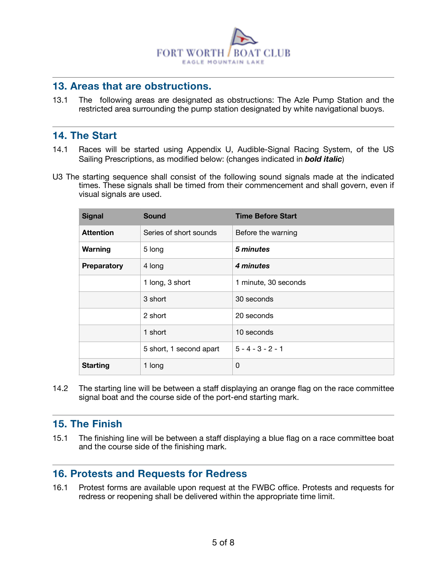

#### **13. Areas that are obstructions.**

13.1 The following areas are designated as obstructions: The Azle Pump Station and the restricted area surrounding the pump station designated by white navigational buoys.

#### **14. The Start**

- 14.1 Races will be started using Appendix U, Audible-Signal Racing System, of the US Sailing Prescriptions, as modified below: (changes indicated in *bold italic*)
- U3 The starting sequence shall consist of the following sound signals made at the indicated times. These signals shall be timed from their commencement and shall govern, even if visual signals are used.

| <b>Signal</b>    | <b>Sound</b>            | <b>Time Before Start</b> |
|------------------|-------------------------|--------------------------|
| <b>Attention</b> | Series of short sounds  | Before the warning       |
| Warning          | 5 long                  | 5 minutes                |
| Preparatory      | 4 long                  | 4 minutes                |
|                  | 1 long, 3 short         | 1 minute, 30 seconds     |
|                  | 3 short                 | 30 seconds               |
|                  | 2 short                 | 20 seconds               |
|                  | 1 short                 | 10 seconds               |
|                  | 5 short, 1 second apart | $5 - 4 - 3 - 2 - 1$      |
| <b>Starting</b>  | 1 long                  | 0                        |

14.2 The starting line will be between a staff displaying an orange flag on the race committee signal boat and the course side of the port-end starting mark.

#### **15. The Finish**

15.1 The finishing line will be between a staff displaying a blue flag on a race committee boat and the course side of the finishing mark.

#### **16. Protests and Requests for Redress**

16.1 Protest forms are available upon request at the FWBC office. Protests and requests for redress or reopening shall be delivered within the appropriate time limit.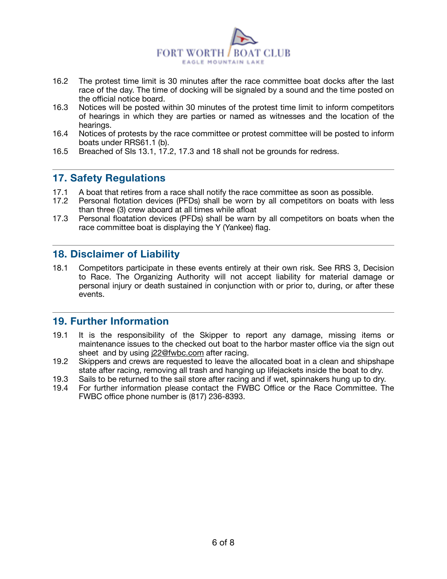

- 16.2 The protest time limit is 30 minutes after the race committee boat docks after the last race of the day. The time of docking will be signaled by a sound and the time posted on the official notice board.
- 16.3 Notices will be posted within 30 minutes of the protest time limit to inform competitors of hearings in which they are parties or named as witnesses and the location of the hearings.
- 16.4 Notices of protests by the race committee or protest committee will be posted to inform boats under RRS61.1 (b).
- 16.5 Breached of SIs 13.1, 17.2, 17.3 and 18 shall not be grounds for redress.

## **17. Safety Regulations**

- 17.1 A boat that retires from a race shall notify the race committee as soon as possible.
- 17.2 Personal flotation devices (PFDs) shall be worn by all competitors on boats with less than three (3) crew aboard at all times while afloat
- 17.3 Personal floatation devices (PFDs) shall be warn by all competitors on boats when the race committee boat is displaying the Y (Yankee) flag.

### **18. Disclaimer of Liability**

18.1 Competitors participate in these events entirely at their own risk. See RRS 3, Decision to Race. The Organizing Authority will not accept liability for material damage or personal injury or death sustained in conjunction with or prior to, during, or after these events.

#### **19. Further Information**

- 19.1 It is the responsibility of the Skipper to report any damage, missing items or maintenance issues to the checked out boat to the harbor master office via the sign out sheet and by using [j22@fwbc.com](mailto:j22@fwbc.com) after racing.
- 19.2 Skippers and crews are requested to leave the allocated boat in a clean and shipshape state after racing, removing all trash and hanging up lifejackets inside the boat to dry.
- 19.3 Sails to be returned to the sail store after racing and if wet, spinnakers hung up to dry.
- 19.4 For further information please contact the FWBC Office or the Race Committee. The FWBC office phone number is (817) 236-8393.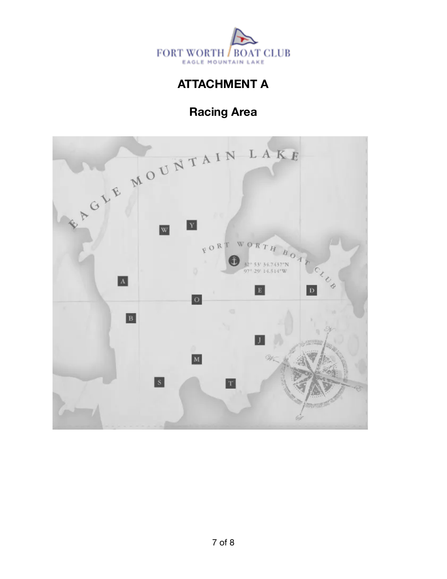

# **ATTACHMENT A**